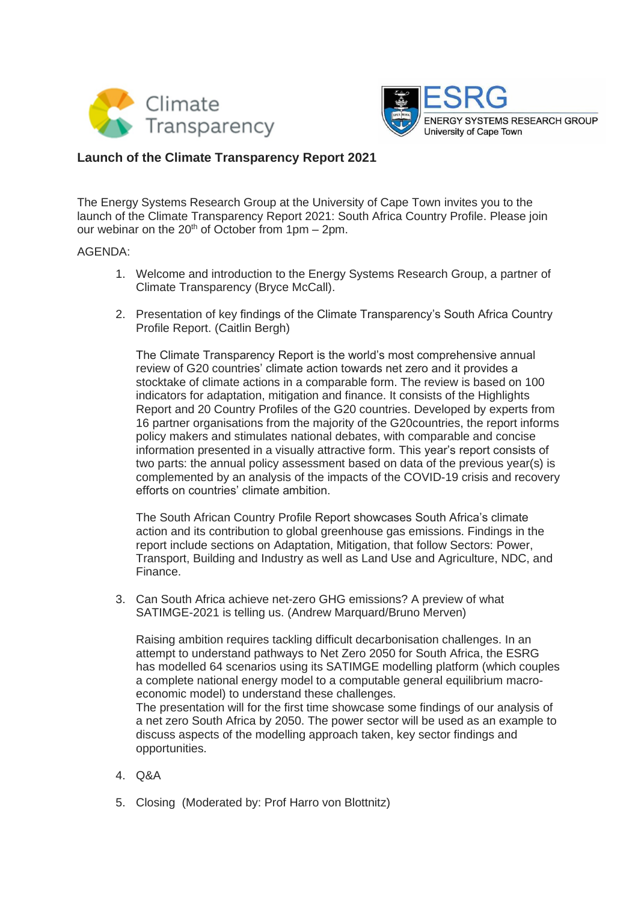



## **Launch of the Climate Transparency Report 2021**

The Energy Systems Research Group at the University of Cape Town invites you to the launch of the Climate Transparency Report 2021: South Africa Country Profile. Please join our webinar on the  $20<sup>th</sup>$  of October from 1pm – 2pm.

## AGENDA:

- 1. Welcome and introduction to the Energy Systems Research Group, a partner of Climate Transparency (Bryce McCall).
- 2. Presentation of key findings of the Climate Transparency's South Africa Country Profile Report. (Caitlin Bergh)

The Climate Transparency Report is the world's most comprehensive annual review of G20 countries' climate action towards net zero and it provides a stocktake of climate actions in a comparable form. The review is based on 100 indicators for adaptation, mitigation and finance. It consists of the Highlights Report and 20 Country Profiles of the G20 countries. Developed by experts from 16 partner organisations from the majority of the G20countries, the report informs policy makers and stimulates national debates, with comparable and concise information presented in a visually attractive form. This year's report consists of two parts: the annual policy assessment based on data of the previous year(s) is complemented by an analysis of the impacts of the COVID-19 crisis and recovery efforts on countries' climate ambition.

The South African Country Profile Report showcases South Africa's climate action and its contribution to global greenhouse gas emissions. Findings in the report include sections on Adaptation, Mitigation, that follow Sectors: Power, Transport, Building and Industry as well as Land Use and Agriculture, NDC, and Finance.

3. Can South Africa achieve net-zero GHG emissions? A preview of what SATIMGE-2021 is telling us. (Andrew Marquard/Bruno Merven)

Raising ambition requires tackling difficult decarbonisation challenges. In an attempt to understand pathways to Net Zero 2050 for South Africa, the ESRG has modelled 64 scenarios using its SATIMGE modelling platform (which couples a complete national energy model to a computable general equilibrium macroeconomic model) to understand these challenges.

The presentation will for the first time showcase some findings of our analysis of a net zero South Africa by 2050. The power sector will be used as an example to discuss aspects of the modelling approach taken, key sector findings and opportunities.

- 4. Q&A
- 5. Closing (Moderated by: Prof Harro von Blottnitz)